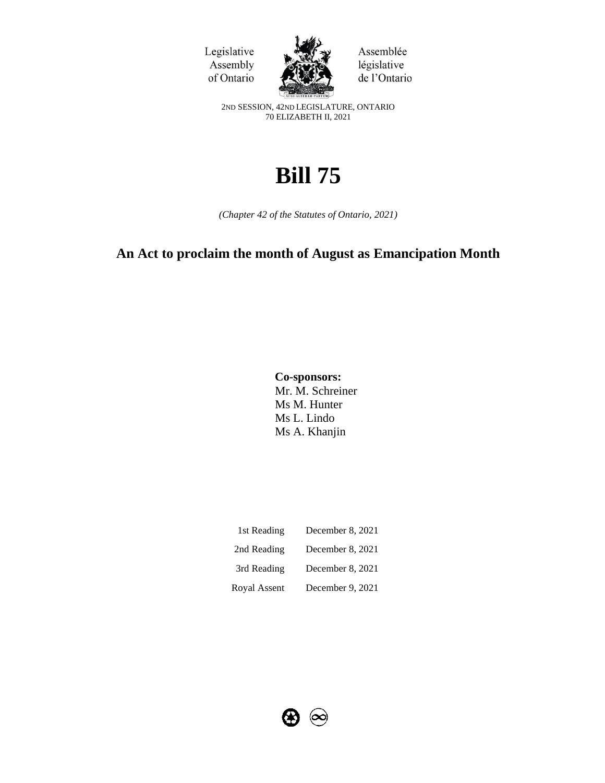



Assemblée législative de l'Ontario

2ND SESSION, 42ND LEGISLATURE, ONTARIO 70 ELIZABETH II, 2021

# **Bill 75**

*(Chapter 42 of the Statutes of Ontario, 2021)*

# **An Act to proclaim the month of August as Emancipation Month**

**Co-sponsors:** Mr. M. Schreiner Ms M. Hunter Ms L. Lindo Ms A. Khanjin

| 1st Reading  | December 8, 2021 |
|--------------|------------------|
| 2nd Reading  | December 8, 2021 |
| 3rd Reading  | December 8, 2021 |
| Royal Assent | December 9, 2021 |